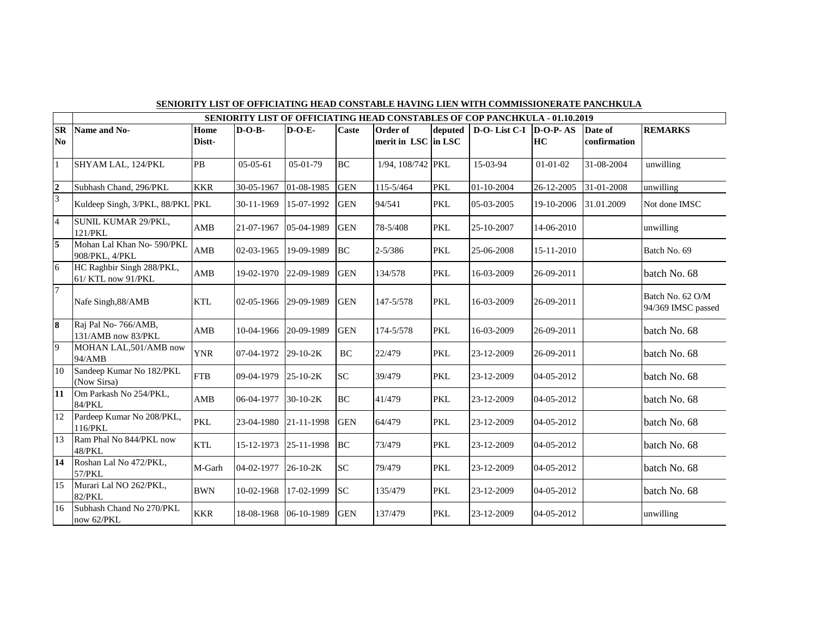|                               | SENIORITY LIST OF OFFICIATING HEAD CONSTABLE HAVING LIEN WITH COMMISSIONERATE PANCHKULA |                |            |                |              |                                 |            |                                                                                    |                |                         |                                        |  |  |
|-------------------------------|-----------------------------------------------------------------------------------------|----------------|------------|----------------|--------------|---------------------------------|------------|------------------------------------------------------------------------------------|----------------|-------------------------|----------------------------------------|--|--|
|                               |                                                                                         |                |            |                |              |                                 |            | <b>SENIORITY LIST OF OFFICIATING HEAD CONSTABLES OF COP PANCHKULA - 01.10.2019</b> |                |                         |                                        |  |  |
| $S_{\rm R}$<br>N <sub>o</sub> | Name and No-                                                                            | Home<br>Distt- | $D-O-B-$   | $D-O-E$        | <b>Caste</b> | Order of<br>merit in LSC in LSC | deputed    | $D-O-List C-I$ $D-O-P-AS$                                                          | HC             | Date of<br>confirmation | <b>REMARKS</b>                         |  |  |
| $\overline{1}$                | SHYAM LAL, 124/PKL                                                                      | <b>PB</b>      | $05-05-61$ | 05-01-79       | <b>BC</b>    | 1/94, 108/742 PKL               |            | 15-03-94                                                                           | $01 - 01 - 02$ | 31-08-2004              | unwilling                              |  |  |
| $rac{2}{3}$                   | Subhash Chand, 296/PKL                                                                  | <b>KKR</b>     | 30-05-1967 | 01-08-1985     | <b>GEN</b>   | 115-5/464                       | <b>PKL</b> | 01-10-2004                                                                         | 26-12-2005     | 31-01-2008              | unwilling                              |  |  |
|                               | Kuldeep Singh, 3/PKL, 88/PKL PKL                                                        |                | 30-11-1969 | 15-07-1992     | <b>GEN</b>   | 94/541                          | <b>PKL</b> | 05-03-2005                                                                         | 19-10-2006     | 31.01.2009              | Not done IMSC                          |  |  |
| $\overline{4}$                | SUNIL KUMAR 29/PKL,<br>121/PKL                                                          | <b>AMB</b>     | 21-07-1967 | 05-04-1989     | <b>GEN</b>   | 78-5/408                        | <b>PKL</b> | 25-10-2007                                                                         | 14-06-2010     |                         | unwilling                              |  |  |
| $\overline{5}$                | Mohan Lal Khan No-590/PKL<br>908/PKL, 4/PKL                                             | AMB            | 02-03-1965 | 19-09-1989     | <b>BC</b>    | $2 - 5/386$                     | <b>PKL</b> | 25-06-2008                                                                         | 15-11-2010     |                         | Batch No. 69                           |  |  |
| $\overline{6}$                | HC Raghbir Singh 288/PKL,<br>61/KTL now 91/PKL                                          | AMB            | 19-02-1970 | 22-09-1989     | <b>GEN</b>   | 134/578                         | <b>PKL</b> | 16-03-2009                                                                         | 26-09-2011     |                         | batch No. 68                           |  |  |
| $\overline{7}$                | Nafe Singh, 88/AMB                                                                      | <b>KTL</b>     | 02-05-1966 | 29-09-1989     | <b>GEN</b>   | 147-5/578                       | <b>PKL</b> | 16-03-2009                                                                         | 26-09-2011     |                         | Batch No. 62 O/M<br>94/369 IMSC passed |  |  |
| $\overline{\mathbf{8}}$       | Raj Pal No-766/AMB,<br>131/AMB now 83/PKL                                               | AMB            | 10-04-1966 | 20-09-1989     | <b>GEN</b>   | 174-5/578                       | <b>PKL</b> | 16-03-2009                                                                         | 26-09-2011     |                         | batch No. 68                           |  |  |
| $\overline{9}$                | MOHAN LAL, 501/AMB now<br>94/AMB                                                        | <b>YNR</b>     | 07-04-1972 | $29-10-2K$     | <b>BC</b>    | 22/479                          | <b>PKL</b> | 23-12-2009                                                                         | 26-09-2011     |                         | batch No. 68                           |  |  |
| 10                            | Sandeep Kumar No 182/PKL<br>(Now Sirsa)                                                 | <b>FTB</b>     | 09-04-1979 | $25 - 10 - 2K$ | SC           | 39/479                          | <b>PKL</b> | 23-12-2009                                                                         | 04-05-2012     |                         | batch No. 68                           |  |  |
| $\overline{11}$               | Om Parkash No 254/PKL,<br>84/PKL                                                        | AMB            | 06-04-1977 | $30-10-2K$     | <b>BC</b>    | 41/479                          | <b>PKL</b> | 23-12-2009                                                                         | 04-05-2012     |                         | batch No. 68                           |  |  |
| $\overline{12}$               | Pardeep Kumar No 208/PKL,<br>116/PKL                                                    | PKL            | 23-04-1980 | 21-11-1998     | <b>GEN</b>   | 64/479                          | <b>PKL</b> | 23-12-2009                                                                         | 04-05-2012     |                         | batch No. 68                           |  |  |
| $\overline{13}$               | Ram Phal No 844/PKL now<br>48/PKL                                                       | <b>KTL</b>     | 15-12-1973 | 25-11-1998     | <b>BC</b>    | 73/479                          | <b>PKL</b> | 23-12-2009                                                                         | 04-05-2012     |                         | batch No. 68                           |  |  |
| 14                            | Roshan Lal No 472/PKL,<br>57/PKL                                                        | M-Garh         | 04-02-1977 | $26 - 10 - 2K$ | SC           | 79/479                          | <b>PKL</b> | 23-12-2009                                                                         | 04-05-2012     |                         | batch No. 68                           |  |  |
| $\overline{15}$               | Murari Lal NO 262/PKL,<br>82/PKL                                                        | <b>BWN</b>     | 10-02-1968 | 17-02-1999     | <b>SC</b>    | 135/479                         | <b>PKL</b> | 23-12-2009                                                                         | 04-05-2012     |                         | batch No. 68                           |  |  |
| 16                            | Subhash Chand No 270/PKL<br>now 62/PKL                                                  | <b>KKR</b>     | 18-08-1968 | 06-10-1989     | <b>GEN</b>   | 137/479                         | <b>PKL</b> | 23-12-2009                                                                         | 04-05-2012     |                         | unwilling                              |  |  |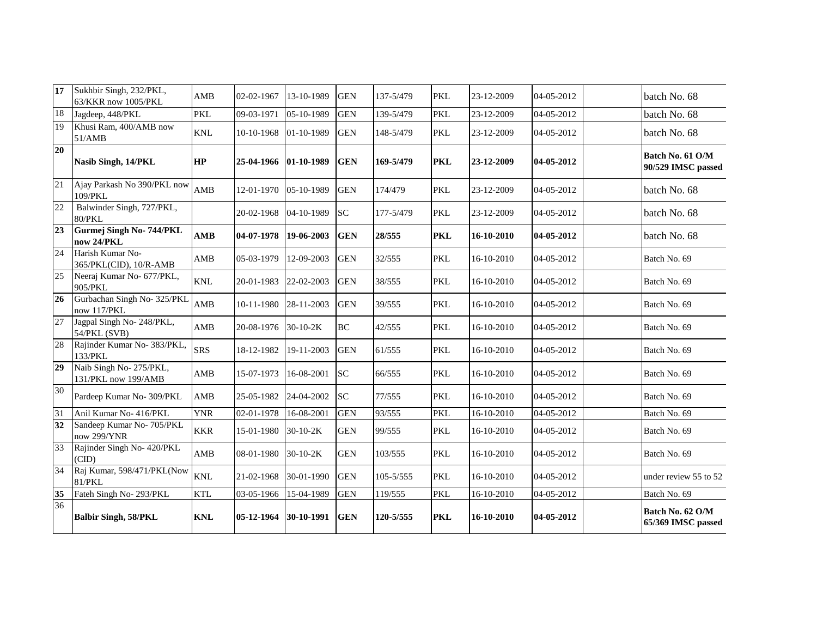| $\overline{17}$ | Sukhbir Singh, 232/PKL,<br>63/KKR now 1005/PKL | AMB                       | 02-02-1967 | 13-10-1989 | <b>GEN</b> | 137-5/479 | <b>PKL</b> | 23-12-2009 | 04-05-2012 | batch No. 68                           |
|-----------------|------------------------------------------------|---------------------------|------------|------------|------------|-----------|------------|------------|------------|----------------------------------------|
| 18              | Jagdeep, 448/PKL                               | <b>PKL</b>                | 09-03-1971 | 05-10-1989 | <b>GEN</b> | 139-5/479 | <b>PKL</b> | 23-12-2009 | 04-05-2012 | batch No. 68                           |
| 19              | Khusi Ram, 400/AMB now<br>51/AMB               | $\ensuremath{\text{KNL}}$ | 10-10-1968 | 01-10-1989 | <b>GEN</b> | 148-5/479 | <b>PKL</b> | 23-12-2009 | 04-05-2012 | batch No. 68                           |
| 20              | Nasib Singh, 14/PKL                            | <b>HP</b>                 | 25-04-1966 | 01-10-1989 | <b>GEN</b> | 169-5/479 | <b>PKL</b> | 23-12-2009 | 04-05-2012 | Batch No. 61 O/M<br>90/529 IMSC passed |
| 21              | Ajay Parkash No 390/PKL now<br>109/PKL         | AMB                       | 12-01-1970 | 05-10-1989 | <b>GEN</b> | 174/479   | <b>PKL</b> | 23-12-2009 | 04-05-2012 | batch No. 68                           |
| 22              | Balwinder Singh, 727/PKL,<br>80/PKL            |                           | 20-02-1968 | 04-10-1989 | <b>SC</b>  | 177-5/479 | <b>PKL</b> | 23-12-2009 | 04-05-2012 | batch No. 68                           |
| $\overline{23}$ | Gurmej Singh No-744/PKL<br>now 24/PKL          | AMB                       | 04-07-1978 | 19-06-2003 | <b>GEN</b> | 28/555    | <b>PKL</b> | 16-10-2010 | 04-05-2012 | batch No. 68                           |
| 24              | Harish Kumar No-<br>365/PKL(CID), 10/R-AMB     | AMB                       | 05-03-1979 | 12-09-2003 | <b>GEN</b> | 32/555    | <b>PKL</b> | 16-10-2010 | 04-05-2012 | Batch No. 69                           |
| 25              | Neeraj Kumar No- 677/PKL,<br>905/PKL           | <b>KNL</b>                | 20-01-1983 | 22-02-2003 | <b>GEN</b> | 38/555    | <b>PKL</b> | 16-10-2010 | 04-05-2012 | Batch No. 69                           |
| 26              | Gurbachan Singh No- 325/PKL<br>now 117/PKL     | AMB                       | 10-11-1980 | 28-11-2003 | <b>GEN</b> | 39/555    | <b>PKL</b> | 16-10-2010 | 04-05-2012 | Batch No. 69                           |
| 27              | Jagpal Singh No- 248/PKL,<br>54/PKL (SVB)      | AMB                       | 20-08-1976 | $30-10-2K$ | <b>BC</b>  | 42/555    | <b>PKL</b> | 16-10-2010 | 04-05-2012 | Batch No. 69                           |
| 28              | Rajinder Kumar No- 383/PKL,<br>133/PKL         | <b>SRS</b>                | 18-12-1982 | 19-11-2003 | <b>GEN</b> | 61/555    | <b>PKL</b> | 16-10-2010 | 04-05-2012 | Batch No. 69                           |
| 29              | Naib Singh No- 275/PKL,<br>131/PKL now 199/AMB | AMB                       | 15-07-1973 | 16-08-2001 | SC         | 66/555    | <b>PKL</b> | 16-10-2010 | 04-05-2012 | Batch No. 69                           |
| 30              | Pardeep Kumar No- 309/PKL                      | AMB                       | 25-05-1982 | 24-04-2002 | <b>SC</b>  | 77/555    | <b>PKL</b> | 16-10-2010 | 04-05-2012 | Batch No. 69                           |
| 31              | Anil Kumar No- 416/PKL                         | <b>YNR</b>                | 02-01-1978 | 16-08-2001 | <b>GEN</b> | 93/555    | <b>PKL</b> | 16-10-2010 | 04-05-2012 | Batch No. 69                           |
| 32              | Sandeep Kumar No- 705/PKL<br>now 299/YNR       | <b>KKR</b>                | 15-01-1980 | 30-10-2K   | <b>GEN</b> | 99/555    | <b>PKL</b> | 16-10-2010 | 04-05-2012 | Batch No. 69                           |
| 33              | Rajinder Singh No- 420/PKL<br>(CID)            | AMB                       | 08-01-1980 | 30-10-2K   | <b>GEN</b> | 103/555   | <b>PKL</b> | 16-10-2010 | 04-05-2012 | Batch No. 69                           |
| $\overline{34}$ | Raj Kumar, 598/471/PKL(Now<br>81/PKL           | $\ensuremath{\text{KNL}}$ | 21-02-1968 | 30-01-1990 | <b>GEN</b> | 105-5/555 | <b>PKL</b> | 16-10-2010 | 04-05-2012 | under review 55 to 52                  |
| 35              | Fateh Singh No- 293/PKL                        | <b>KTL</b>                | 03-05-1966 | 15-04-1989 | <b>GEN</b> | 119/555   | <b>PKL</b> | 16-10-2010 | 04-05-2012 | Batch No. 69                           |
| $\overline{36}$ | <b>Balbir Singh, 58/PKL</b>                    | <b>KNL</b>                | 05-12-1964 | 30-10-1991 | <b>GEN</b> | 120-5/555 | <b>PKL</b> | 16-10-2010 | 04-05-2012 | Batch No. 62 O/M<br>65/369 IMSC passed |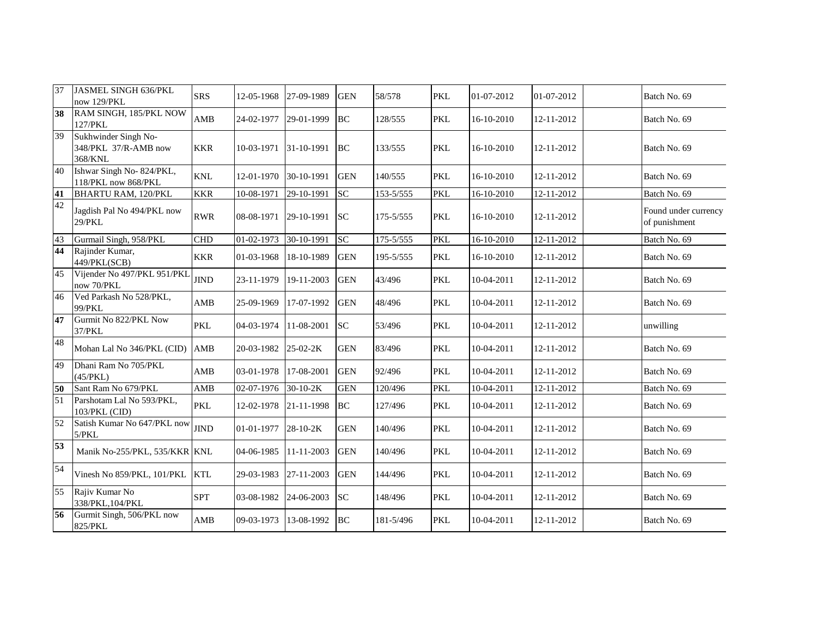| 37              | <b>JASMEL SINGH 636/PKL</b><br>now 129/PKL              | <b>SRS</b>  | 12-05-1968 | 27-09-1989                  | <b>GEN</b> | 58/578    | <b>PKL</b> | 01-07-2012 | 01-07-2012 | Batch No. 69                          |
|-----------------|---------------------------------------------------------|-------------|------------|-----------------------------|------------|-----------|------------|------------|------------|---------------------------------------|
| $\overline{38}$ | RAM SINGH, 185/PKL NOW<br>127/PKL                       | AMB         | 24-02-1977 | 29-01-1999                  | <b>BC</b>  | 128/555   | <b>PKL</b> | 16-10-2010 | 12-11-2012 | Batch No. 69                          |
| 39              | Sukhwinder Singh No-<br>348/PKL 37/R-AMB now<br>368/KNL | <b>KKR</b>  | 10-03-1971 | 31-10-1991                  | <b>BC</b>  | 133/555   | <b>PKL</b> | 16-10-2010 | 12-11-2012 | Batch No. 69                          |
| 40              | Ishwar Singh No-824/PKL,<br>118/PKL now 868/PKL         | <b>KNL</b>  | 12-01-1970 | 30-10-1991                  | <b>GEN</b> | 140/555   | <b>PKL</b> | 16-10-2010 | 12-11-2012 | Batch No. 69                          |
| 41              | <b>BHARTU RAM, 120/PKL</b>                              | <b>KKR</b>  | 10-08-1971 | 29-10-1991                  | <b>SC</b>  | 153-5/555 | <b>PKL</b> | 16-10-2010 | 12-11-2012 | Batch No. 69                          |
| 42              | Jagdish Pal No 494/PKL now<br>29/PKL                    | <b>RWR</b>  | 08-08-1971 | 29-10-1991                  | <b>SC</b>  | 175-5/555 | <b>PKL</b> | 16-10-2010 | 12-11-2012 | Found under currency<br>of punishment |
| 43              | Gurmail Singh, 958/PKL                                  | <b>CHD</b>  | 01-02-1973 | $\overline{30} - 10 - 1991$ | <b>SC</b>  | 175-5/555 | <b>PKL</b> | 16-10-2010 | 12-11-2012 | Batch No. 69                          |
| 44              | Rajinder Kumar,<br>449/PKL(SCB)                         | <b>KKR</b>  | 01-03-1968 | 18-10-1989                  | <b>GEN</b> | 195-5/555 | <b>PKL</b> | 16-10-2010 | 12-11-2012 | Batch No. 69                          |
| 45              | Vijender No 497/PKL 951/PKL<br>now 70/PKL               | <b>JIND</b> | 23-11-1979 | 19-11-2003                  | <b>GEN</b> | 43/496    | <b>PKL</b> | 10-04-2011 | 12-11-2012 | Batch No. 69                          |
| 46              | Ved Parkash No 528/PKL,<br>99/PKL                       | AMB         | 25-09-1969 | 17-07-1992                  | <b>GEN</b> | 48/496    | <b>PKL</b> | 10-04-2011 | 12-11-2012 | Batch No. 69                          |
| 47              | Gurmit No 822/PKL Now<br>37/PKL                         | <b>PKL</b>  | 04-03-1974 | 11-08-2001                  | <b>SC</b>  | 53/496    | <b>PKL</b> | 10-04-2011 | 12-11-2012 | unwilling                             |
| 48              | Mohan Lal No 346/PKL (CID)                              | <b>AMB</b>  | 20-03-1982 | 25-02-2K                    | <b>GEN</b> | 83/496    | <b>PKL</b> | 10-04-2011 | 12-11-2012 | Batch No. 69                          |
| 49              | Dhani Ram No 705/PKL<br>(45/PKL)                        | AMB         | 03-01-1978 | 17-08-2001                  | <b>GEN</b> | 92/496    | <b>PKL</b> | 10-04-2011 | 12-11-2012 | Batch No. 69                          |
| 50              | Sant Ram No 679/PKL                                     | AMB         | 02-07-1976 | 30-10-2K                    | <b>GEN</b> | 120/496   | <b>PKL</b> | 10-04-2011 | 12-11-2012 | Batch No. 69                          |
| 51              | Parshotam Lal No 593/PKL,<br>103/PKL (CID)              | <b>PKL</b>  | 12-02-1978 | 21-11-1998                  | <b>BC</b>  | 127/496   | <b>PKL</b> | 10-04-2011 | 12-11-2012 | Batch No. 69                          |
| 52              | Satish Kumar No 647/PKL now<br>5/PKL                    | <b>JIND</b> | 01-01-1977 | $28-10-2K$                  | <b>GEN</b> | 140/496   | <b>PKL</b> | 10-04-2011 | 12-11-2012 | Batch No. 69                          |
| 53              | Manik No-255/PKL, 535/KKR KNL                           |             | 04-06-1985 | 11-11-2003                  | <b>GEN</b> | 140/496   | <b>PKL</b> | 10-04-2011 | 12-11-2012 | Batch No. 69                          |
| 54              | Vinesh No 859/PKL, 101/PKL                              | <b>KTL</b>  | 29-03-1983 | 27-11-2003                  | <b>GEN</b> | 144/496   | <b>PKL</b> | 10-04-2011 | 12-11-2012 | Batch No. 69                          |
| 55              | Rajiv Kumar No<br>338/PKL, 104/PKL                      | <b>SPT</b>  | 03-08-1982 | 24-06-2003                  | <b>SC</b>  | 148/496   | <b>PKL</b> | 10-04-2011 | 12-11-2012 | Batch No. 69                          |
| 56              | Gurmit Singh, 506/PKL now<br>825/PKL                    | AMB         | 09-03-1973 | 13-08-1992                  | <b>BC</b>  | 181-5/496 | <b>PKL</b> | 10-04-2011 | 12-11-2012 | Batch No. 69                          |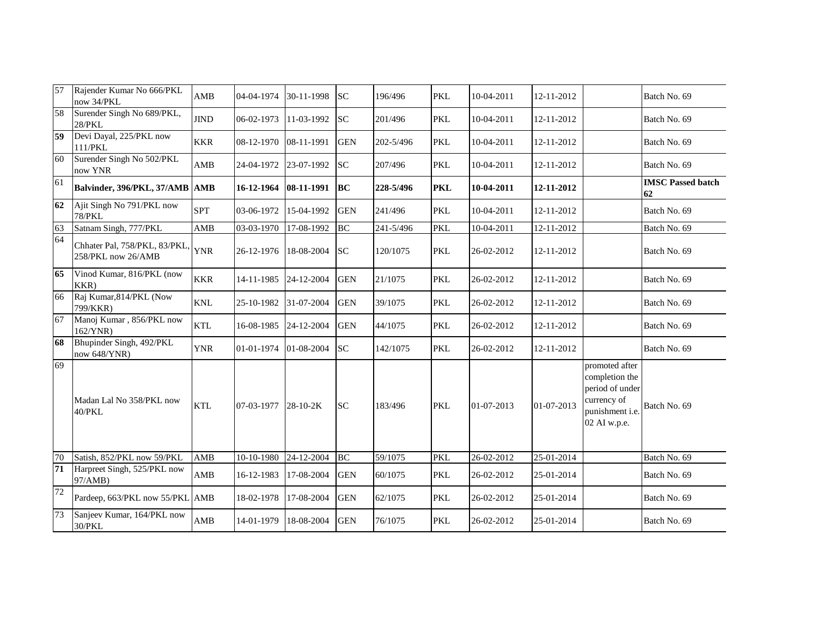| 57 | Rajender Kumar No 666/PKL<br>now 34/PKL             | AMB                       | 04-04-1974 | 30-11-1998     | <b>SC</b>  | 196/496   | <b>PKL</b> | 10-04-2011 | 12-11-2012       |                                                                                                       | Batch No. 69                   |
|----|-----------------------------------------------------|---------------------------|------------|----------------|------------|-----------|------------|------------|------------------|-------------------------------------------------------------------------------------------------------|--------------------------------|
| 58 | Surender Singh No 689/PKL,<br>$28/PKL$              | <b>JIND</b>               | 06-02-1973 | 11-03-1992     | <b>SC</b>  | 201/496   | <b>PKL</b> | 10-04-2011 | 12-11-2012       |                                                                                                       | Batch No. 69                   |
| 59 | Devi Dayal, 225/PKL now<br>111/PKL                  | <b>KKR</b>                | 08-12-1970 | 08-11-1991     | <b>GEN</b> | 202-5/496 | <b>PKL</b> | 10-04-2011 | 12-11-2012       |                                                                                                       | Batch No. 69                   |
| 60 | Surender Singh No 502/PKL<br>now YNR                | AMB                       | 24-04-1972 | 23-07-1992     | <b>SC</b>  | 207/496   | <b>PKL</b> | 10-04-2011 | 12-11-2012       |                                                                                                       | Batch No. 69                   |
| 61 | Balvinder, 396/PKL, 37/AMB AMB                      |                           | 16-12-1964 | 08-11-1991     | <b>BC</b>  | 228-5/496 | <b>PKL</b> | 10-04-2011 | 12-11-2012       |                                                                                                       | <b>IMSC Passed batch</b><br>62 |
| 62 | Ajit Singh No 791/PKL now<br><b>78/PKL</b>          | <b>SPT</b>                | 03-06-1972 | 15-04-1992     | <b>GEN</b> | 241/496   | <b>PKL</b> | 10-04-2011 | 12-11-2012       |                                                                                                       | Batch No. 69                   |
| 63 | Satnam Singh, 777/PKL                               | $\mathbf{AMB}$            | 03-03-1970 | 17-08-1992     | BC         | 241-5/496 | <b>PKL</b> | 10-04-2011 | 12-11-2012       |                                                                                                       | Batch No. 69                   |
| 64 | Chhater Pal, 758/PKL, 83/PKL,<br>258/PKL now 26/AMB | <b>YNR</b>                | 26-12-1976 | 18-08-2004     | <b>SC</b>  | 120/1075  | <b>PKL</b> | 26-02-2012 | 12-11-2012       |                                                                                                       | Batch No. 69                   |
| 65 | Vinod Kumar, 816/PKL (now<br>KKR)                   | <b>KKR</b>                | 14-11-1985 | 24-12-2004     | <b>GEN</b> | 21/1075   | <b>PKL</b> | 26-02-2012 | 12-11-2012       |                                                                                                       | Batch No. 69                   |
| 66 | Raj Kumar, 814/PKL (Now<br>799/KKR)                 | $\ensuremath{\text{KNL}}$ | 25-10-1982 | 31-07-2004     | <b>GEN</b> | 39/1075   | <b>PKL</b> | 26-02-2012 | 12-11-2012       |                                                                                                       | Batch No. 69                   |
| 67 | Manoj Kumar, 856/PKL now<br>162/YNR)                | <b>KTL</b>                | 16-08-1985 | 24-12-2004     | <b>GEN</b> | 44/1075   | <b>PKL</b> | 26-02-2012 | 12-11-2012       |                                                                                                       | Batch No. 69                   |
| 68 | Bhupinder Singh, 492/PKL<br>now 648/YNR)            | <b>YNR</b>                | 01-01-1974 | 01-08-2004     | <b>SC</b>  | 142/1075  | <b>PKL</b> | 26-02-2012 | 12-11-2012       |                                                                                                       | Batch No. 69                   |
| 69 | Madan Lal No 358/PKL now<br>40/PKL                  | <b>KTL</b>                | 07-03-1977 | $28 - 10 - 2K$ | <b>SC</b>  | 183/496   | <b>PKL</b> | 01-07-2013 | $01 - 07 - 2013$ | promoted after<br>completion the<br>period of under<br>currency of<br>punishment i.e.<br>02 AI w.p.e. | Batch No. 69                   |
| 70 | Satish, 852/PKL now 59/PKL                          | AMB                       | 10-10-1980 | 24-12-2004     | <b>BC</b>  | 59/1075   | <b>PKL</b> | 26-02-2012 | 25-01-2014       |                                                                                                       | Batch No. 69                   |
| 71 | Harpreet Singh, 525/PKL now<br>97/AMB)              | AMB                       | 16-12-1983 | 17-08-2004     | <b>GEN</b> | 60/1075   | <b>PKL</b> | 26-02-2012 | 25-01-2014       |                                                                                                       | Batch No. 69                   |
| 72 | Pardeep, 663/PKL now 55/PKL AMB                     |                           | 18-02-1978 | 17-08-2004     | <b>GEN</b> | 62/1075   | <b>PKL</b> | 26-02-2012 | 25-01-2014       |                                                                                                       | Batch No. 69                   |
| 73 | Sanjeev Kumar, 164/PKL now<br>30/PKL                | AMB                       | 14-01-1979 | 18-08-2004     | <b>GEN</b> | 76/1075   | <b>PKL</b> | 26-02-2012 | 25-01-2014       |                                                                                                       | Batch No. 69                   |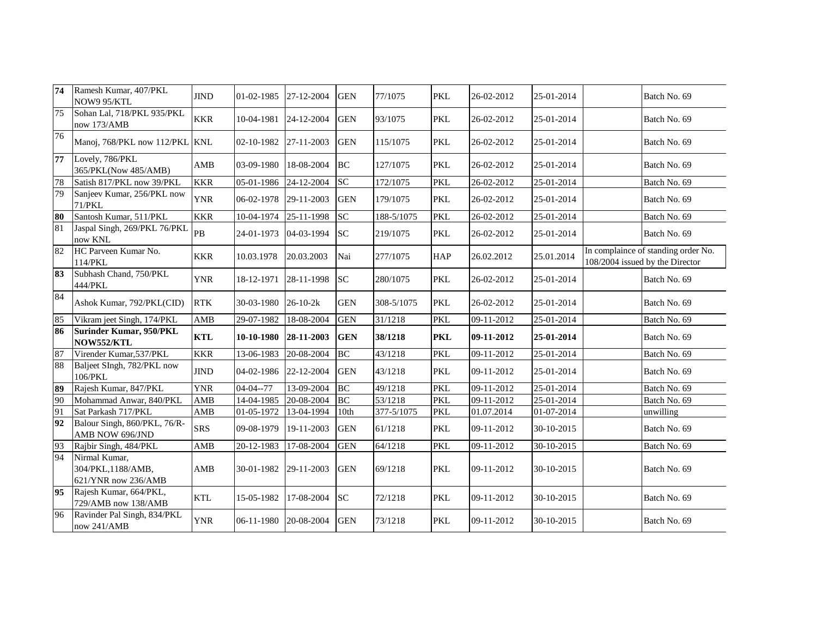| 74 | Ramesh Kumar, 407/PKL<br>NOW9 95/KTL                       | <b>JIND</b> | 01-02-1985     | 27-12-2004     | <b>GEN</b>       | 77/1075    | <b>PKL</b> | 26-02-2012   | 25-01-2014 | Batch No. 69                                                           |
|----|------------------------------------------------------------|-------------|----------------|----------------|------------------|------------|------------|--------------|------------|------------------------------------------------------------------------|
| 75 | Sohan Lal, 718/PKL 935/PKL<br>now 173/AMB                  | <b>KKR</b>  | 10-04-1981     | 24-12-2004     | <b>GEN</b>       | 93/1075    | <b>PKL</b> | 26-02-2012   | 25-01-2014 | Batch No. 69                                                           |
| 76 | Manoj, 768/PKL now 112/PKL KNL                             |             | 02-10-1982     | 27-11-2003     | <b>GEN</b>       | 115/1075   | <b>PKL</b> | 26-02-2012   | 25-01-2014 | Batch No. 69                                                           |
| 77 | Lovely, 786/PKL<br>365/PKL(Now 485/AMB)                    | AMB         | 03-09-1980     | 18-08-2004     | <b>BC</b>        | 127/1075   | <b>PKL</b> | 26-02-2012   | 25-01-2014 | Batch No. 69                                                           |
| 78 | Satish 817/PKL now 39/PKL                                  | <b>KKR</b>  | 05-01-1986     | 24-12-2004     | <b>SC</b>        | 172/1075   | <b>PKL</b> | 26-02-2012   | 25-01-2014 | Batch No. 69                                                           |
| 79 | Sanjeev Kumar, 256/PKL now<br><b>71/PKL</b>                | <b>YNR</b>  | 06-02-1978     | 29-11-2003     | <b>GEN</b>       | 179/1075   | <b>PKL</b> | 26-02-2012   | 25-01-2014 | Batch No. 69                                                           |
| 80 | Santosh Kumar, 511/PKL                                     | <b>KKR</b>  | 10-04-1974     | 25-11-1998     | <b>SC</b>        | 188-5/1075 | <b>PKL</b> | 26-02-2012   | 25-01-2014 | Batch No. 69                                                           |
| 81 | Jaspal Singh, 269/PKL 76/PKL<br>now KNL                    | PB          | 24-01-1973     | 04-03-1994     | <b>SC</b>        | 219/1075   | <b>PKL</b> | 26-02-2012   | 25-01-2014 | Batch No. 69                                                           |
| 82 | HC Parveen Kumar No.<br>114/PKL                            | <b>KKR</b>  | 10.03.1978     | 20.03.2003     | Nai              | 277/1075   | <b>HAP</b> | 26.02.2012   | 25.01.2014 | In complaince of standing order No.<br>108/2004 issued by the Director |
| 83 | Subhash Chand, 750/PKL<br>444/PKL                          | <b>YNR</b>  | 18-12-1971     | 28-11-1998     | <b>SC</b>        | 280/1075   | <b>PKL</b> | 26-02-2012   | 25-01-2014 | Batch No. 69                                                           |
| 84 | Ashok Kumar, 792/PKL(CID)                                  | <b>RTK</b>  | 30-03-1980     | $26 - 10 - 2k$ | <b>GEN</b>       | 308-5/1075 | <b>PKL</b> | 26-02-2012   | 25-01-2014 | Batch No. 69                                                           |
| 85 | Vikram jeet Singh, 174/PKL                                 | <b>AMB</b>  | 29-07-1982     | 18-08-2004     | <b>GEN</b>       | 31/1218    | <b>PKL</b> | 09-11-2012   | 25-01-2014 | Batch No. 69                                                           |
| 86 | <b>Surinder Kumar, 950/PKL</b><br>NOW552/KTL               | <b>KTL</b>  | 10-10-1980     | 28-11-2003     | <b>GEN</b>       | 38/1218    | <b>PKL</b> | 09-11-2012   | 25-01-2014 | Batch No. 69                                                           |
| 87 | Virender Kumar, 537/PKL                                    | <b>KKR</b>  | 13-06-1983     | 20-08-2004     | <b>BC</b>        | 43/1218    | <b>PKL</b> | 09-11-2012   | 25-01-2014 | Batch No. 69                                                           |
| 88 | Baljeet SIngh, 782/PKL now<br>$106$ /PKL                   | <b>JIND</b> | 04-02-1986     | 22-12-2004     | <b>GEN</b>       | 43/1218    | <b>PKL</b> | 09-11-2012   | 25-01-2014 | Batch No. 69                                                           |
| 89 | Rajesh Kumar, 847/PKL                                      | <b>YNR</b>  | $04 - 04 - 77$ | 13-09-2004     | BC               | 49/1218    | <b>PKL</b> | $09-11-2012$ | 25-01-2014 | Batch No. 69                                                           |
| 90 | Mohammad Anwar, 840/PKL                                    | AMB         | 14-04-1985     | 20-08-2004     | <b>BC</b>        | 53/1218    | <b>PKL</b> | 09-11-2012   | 25-01-2014 | Batch No. 69                                                           |
| 91 | Sat Parkash 717/PKL                                        | AMB         | 01-05-1972     | 13-04-1994     | 10 <sub>th</sub> | 377-5/1075 | <b>PKL</b> | 01.07.2014   | 01-07-2014 | unwilling                                                              |
| 92 | Balour Singh, 860/PKL, 76/R-<br>AMB NOW 696/JND            | <b>SRS</b>  | 09-08-1979     | 19-11-2003     | <b>GEN</b>       | 61/1218    | <b>PKL</b> | 09-11-2012   | 30-10-2015 | Batch No. 69                                                           |
| 93 | Rajbir Singh, 484/PKL                                      | AMB         | 20-12-1983     | 17-08-2004     | <b>GEN</b>       | 64/1218    | <b>PKL</b> | 09-11-2012   | 30-10-2015 | Batch No. 69                                                           |
| 94 | Nirmal Kumar,<br>304/PKL, 1188/AMB,<br>621/YNR now 236/AMB | AMB         | 30-01-1982     | 29-11-2003     | <b>GEN</b>       | 69/1218    | <b>PKL</b> | 09-11-2012   | 30-10-2015 | Batch No. 69                                                           |
| 95 | Rajesh Kumar, 664/PKL,<br>729/AMB now 138/AMB              | <b>KTL</b>  | 15-05-1982     | 17-08-2004     | <b>SC</b>        | 72/1218    | <b>PKL</b> | 09-11-2012   | 30-10-2015 | Batch No. 69                                                           |
| 96 | Ravinder Pal Singh, 834/PKL<br>now 241/AMB                 | <b>YNR</b>  | 06-11-1980     | 20-08-2004     | <b>GEN</b>       | 73/1218    | <b>PKL</b> | 09-11-2012   | 30-10-2015 | Batch No. 69                                                           |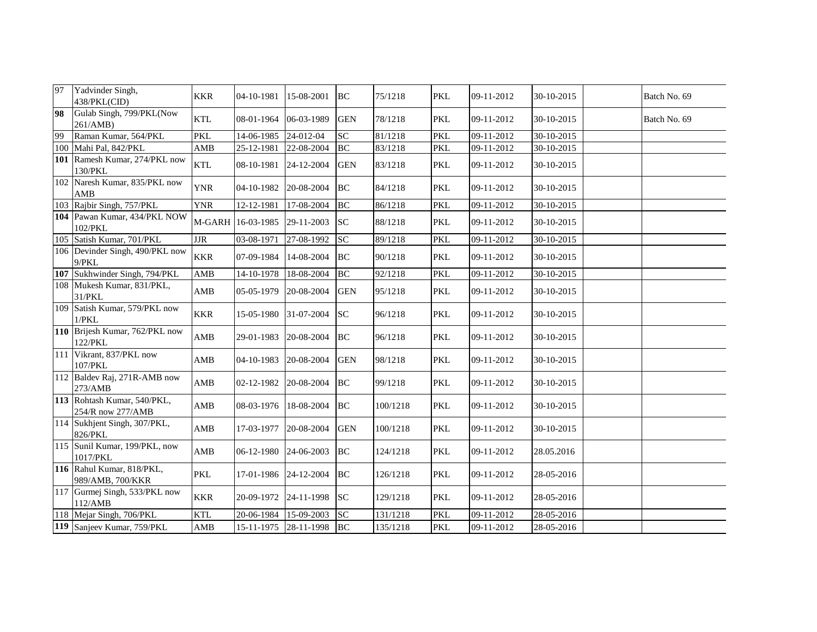| 97 | Yadvinder Singh,<br>438/PKL(CID)                 | <b>KKR</b> | 04-10-1981                   | 15-08-2001 | <b>BC</b>  | 75/1218  | <b>PKL</b> | 09-11-2012 | 30-10-2015 | Batch No. 69 |
|----|--------------------------------------------------|------------|------------------------------|------------|------------|----------|------------|------------|------------|--------------|
| 98 | Gulab Singh, 799/PKL(Now<br>261/AMB)             | <b>KTL</b> | 08-01-1964 06-03-1989        |            | <b>GEN</b> | 78/1218  | <b>PKL</b> | 09-11-2012 | 30-10-2015 | Batch No. 69 |
| 99 | Raman Kumar, 564/PKL                             | <b>PKL</b> | 14-06-1985                   | 24-012-04  | SC         | 81/1218  | <b>PKL</b> | 09-11-2012 | 30-10-2015 |              |
|    | 100 Mahi Pal, 842/PKL                            | AMB        | 25-12-1981                   | 22-08-2004 | BC         | 83/1218  | <b>PKL</b> | 09-11-2012 | 30-10-2015 |              |
|    | 101 Ramesh Kumar, 274/PKL now<br>130/PKL         | <b>KTL</b> | 08-10-1981 24-12-2004        |            | <b>GEN</b> | 83/1218  | <b>PKL</b> | 09-11-2012 | 30-10-2015 |              |
|    | 102 Naresh Kumar, 835/PKL now<br>AMB             | <b>YNR</b> | 04-10-1982 20-08-2004        |            | BC         | 84/1218  | <b>PKL</b> | 09-11-2012 | 30-10-2015 |              |
|    | 103 Rajbir Singh, 757/PKL                        | <b>YNR</b> | 12-12-1981                   | 17-08-2004 | <b>BC</b>  | 86/1218  | <b>PKL</b> | 09-11-2012 | 30-10-2015 |              |
|    | 104 Pawan Kumar, 434/PKL NOW<br>102/PKL          |            | M-GARH 16-03-1985 29-11-2003 |            | <b>SC</b>  | 88/1218  | <b>PKL</b> | 09-11-2012 | 30-10-2015 |              |
|    | 105 Satish Kumar, 701/PKL                        | JIR        | 03-08-1971                   | 27-08-1992 | <b>SC</b>  | 89/1218  | <b>PKL</b> | 09-11-2012 | 30-10-2015 |              |
|    | 106 Devinder Singh, 490/PKL now<br>9/PKL         | <b>KKR</b> | 07-09-1984                   | 14-08-2004 | BC         | 90/1218  | <b>PKL</b> | 09-11-2012 | 30-10-2015 |              |
|    | 107 Sukhwinder Singh, 794/PKL                    | AMB        | 14-10-1978                   | 18-08-2004 | <b>BC</b>  | 92/1218  | <b>PKL</b> | 09-11-2012 | 30-10-2015 |              |
|    | 108 Mukesh Kumar, 831/PKL,<br>31/PKL             | AMB        | 05-05-1979                   | 20-08-2004 | <b>GEN</b> | 95/1218  | <b>PKL</b> | 09-11-2012 | 30-10-2015 |              |
|    | 109 Satish Kumar, 579/PKL now<br>1/PKL           | <b>KKR</b> | 15-05-1980                   | 31-07-2004 | <b>SC</b>  | 96/1218  | <b>PKL</b> | 09-11-2012 | 30-10-2015 |              |
|    | 110 Brijesh Kumar, 762/PKL now<br>122/PKL        | AMB        | 29-01-1983                   | 20-08-2004 | BC         | 96/1218  | <b>PKL</b> | 09-11-2012 | 30-10-2015 |              |
|    | 111 Vikrant, 837/PKL now<br>107/PKL              | AMB        | 04-10-1983                   | 20-08-2004 | <b>GEN</b> | 98/1218  | <b>PKL</b> | 09-11-2012 | 30-10-2015 |              |
|    | 112 Baldev Raj, 271R-AMB now<br>273/AMB          | AMB        | 02-12-1982                   | 20-08-2004 | <b>BC</b>  | 99/1218  | <b>PKL</b> | 09-11-2012 | 30-10-2015 |              |
|    | 113 Rohtash Kumar, 540/PKL,<br>254/R now 277/AMB | AMB        | 08-03-1976 18-08-2004        |            | BC         | 100/1218 | <b>PKL</b> | 09-11-2012 | 30-10-2015 |              |
|    | 114 Sukhjent Singh, 307/PKL,<br>826/PKL          | AMB        | 17-03-1977 20-08-2004        |            | <b>GEN</b> | 100/1218 | <b>PKL</b> | 09-11-2012 | 30-10-2015 |              |
|    | 115 Sunil Kumar, 199/PKL, now<br>1017/PKL        | AMB        | 06-12-1980 24-06-2003        |            | BC         | 124/1218 | <b>PKL</b> | 09-11-2012 | 28.05.2016 |              |
|    | 116 Rahul Kumar, 818/PKL,<br>989/AMB, 700/KKR    | <b>PKL</b> | 17-01-1986 24-12-2004        |            | BC         | 126/1218 | <b>PKL</b> | 09-11-2012 | 28-05-2016 |              |
|    | 117 Gurmej Singh, 533/PKL now<br>112/AMB         | <b>KKR</b> | 20-09-1972 24-11-1998        |            | <b>SC</b>  | 129/1218 | <b>PKL</b> | 09-11-2012 | 28-05-2016 |              |
|    | 118 Mejar Singh, 706/PKL                         | <b>KTL</b> | 20-06-1984                   | 15-09-2003 | <b>SC</b>  | 131/1218 | <b>PKL</b> | 09-11-2012 | 28-05-2016 |              |
|    | 119 Sanjeev Kumar, 759/PKL                       | AMB        | 15-11-1975 28-11-1998        |            | BC         | 135/1218 | PKL        | 09-11-2012 | 28-05-2016 |              |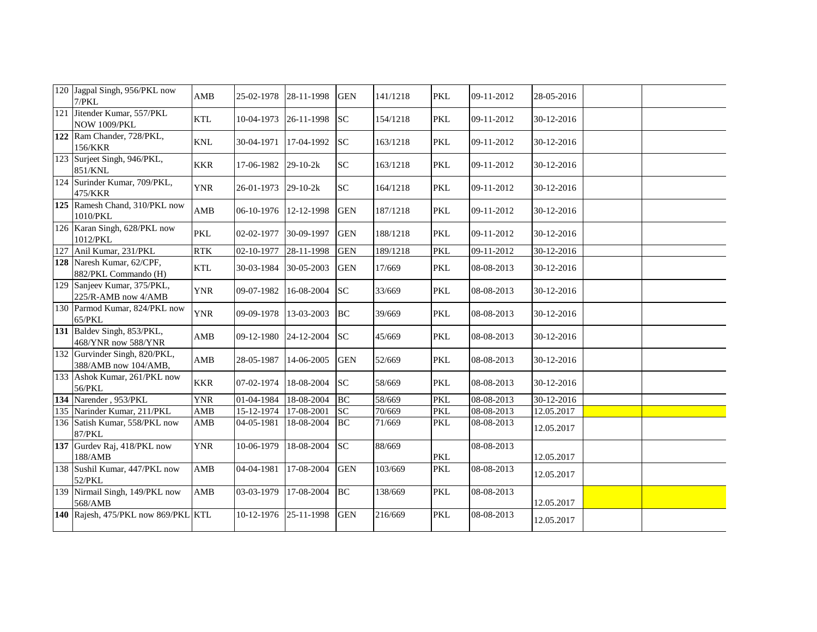| 120 Jagpal Singh, 956/PKL now<br>7/PKL                | AMB        | 25-02-1978 | 28-11-1998     | <b>GEN</b>      | 141/1218 | <b>PKL</b> | 09-11-2012 | 28-05-2016 |  |
|-------------------------------------------------------|------------|------------|----------------|-----------------|----------|------------|------------|------------|--|
| 121 Jitender Kumar, 557/PKL<br><b>NOW 1009/PKL</b>    | <b>KTL</b> | 10-04-1973 | 26-11-1998     | <b>SC</b>       | 154/1218 | <b>PKL</b> | 09-11-2012 | 30-12-2016 |  |
| 122 Ram Chander, 728/PKL,<br>156/KKR                  | <b>KNL</b> | 30-04-1971 | 17-04-1992     | <b>SC</b>       | 163/1218 | <b>PKL</b> | 09-11-2012 | 30-12-2016 |  |
| 123 Surjeet Singh, 946/PKL,<br>851/KNL                | <b>KKR</b> | 17-06-1982 | $29 - 10 - 2k$ | SC              | 163/1218 | PKL        | 09-11-2012 | 30-12-2016 |  |
| 124 Surinder Kumar, 709/PKL,<br>475/KKR               | <b>YNR</b> | 26-01-1973 | $29-10-2k$     | <b>SC</b>       | 164/1218 | <b>PKL</b> | 09-11-2012 | 30-12-2016 |  |
| 125 Ramesh Chand, 310/PKL now<br>1010/PKL             | AMB        | 06-10-1976 | 12-12-1998     | <b>GEN</b>      | 187/1218 | <b>PKL</b> | 09-11-2012 | 30-12-2016 |  |
| 126 Karan Singh, 628/PKL now<br>1012/PKL              | <b>PKL</b> | 02-02-1977 | 30-09-1997     | <b>GEN</b>      | 188/1218 | <b>PKL</b> | 09-11-2012 | 30-12-2016 |  |
| 127 Anil Kumar, 231/PKL                               | RTK        | 02-10-1977 | 28-11-1998     | <b>GEN</b>      | 189/1218 | <b>PKL</b> | 09-11-2012 | 30-12-2016 |  |
| 128 Naresh Kumar, 62/CPF,<br>882/PKL Commando (H)     | <b>KTL</b> | 30-03-1984 | 30-05-2003     | <b>GEN</b>      | 17/669   | PKL        | 08-08-2013 | 30-12-2016 |  |
| 129 Sanjeev Kumar, 375/PKL,<br>225/R-AMB now 4/AMB    | <b>YNR</b> | 09-07-1982 | 16-08-2004     | SC <sub>1</sub> | 33/669   | <b>PKL</b> | 08-08-2013 | 30-12-2016 |  |
| 130 Parmod Kumar, 824/PKL now<br>65/PKL               | <b>YNR</b> | 09-09-1978 | 13-03-2003     | BC              | 39/669   | <b>PKL</b> | 08-08-2013 | 30-12-2016 |  |
| 131 Baldev Singh, 853/PKL,<br>468/YNR now 588/YNR     | AMB        | 09-12-1980 | 24-12-2004     | <b>SC</b>       | 45/669   | <b>PKL</b> | 08-08-2013 | 30-12-2016 |  |
| 132 Gurvinder Singh, 820/PKL,<br>388/AMB now 104/AMB, | AMB        | 28-05-1987 | 14-06-2005     | <b>GEN</b>      | 52/669   | <b>PKL</b> | 08-08-2013 | 30-12-2016 |  |
| 133 Ashok Kumar, 261/PKL now<br>56/PKL                | <b>KKR</b> | 07-02-1974 | 18-08-2004     | <b>SC</b>       | 58/669   | <b>PKL</b> | 08-08-2013 | 30-12-2016 |  |
| 134 Narender, 953/PKL                                 | <b>YNR</b> | 01-04-1984 | 18-08-2004     | BC              | 58/669   | <b>PKL</b> | 08-08-2013 | 30-12-2016 |  |
| 135 Narinder Kumar, 211/PKL                           | AMB        | 15-12-1974 | 17-08-2001     | <b>SC</b>       | 70/669   | <b>PKL</b> | 08-08-2013 | 12.05.2017 |  |
| 136 Satish Kumar, 558/PKL now<br><b>87/PKL</b>        | AMB        | 04-05-1981 | 18-08-2004     | <b>BC</b>       | 71/669   | <b>PKL</b> | 08-08-2013 | 12.05.2017 |  |
| 137 Gurdev Raj, 418/PKL now<br>188/AMB                | <b>YNR</b> | 10-06-1979 | 18-08-2004     | SC              | 88/669   | PKL        | 08-08-2013 | 12.05.2017 |  |
| 138 Sushil Kumar, 447/PKL now<br>52/PKL               | AMB        | 04-04-1981 | 17-08-2004     | <b>GEN</b>      | 103/669  | <b>PKL</b> | 08-08-2013 | 12.05.2017 |  |
| 139 Nirmail Singh, 149/PKL now<br>568/AMB             | AMB        | 03-03-1979 | 17-08-2004     | BC              | 138/669  | <b>PKL</b> | 08-08-2013 | 12.05.2017 |  |
| 140 Rajesh, 475/PKL now 869/PKL KTL                   |            | 10-12-1976 | 25-11-1998     | <b>GEN</b>      | 216/669  | <b>PKL</b> | 08-08-2013 | 12.05.2017 |  |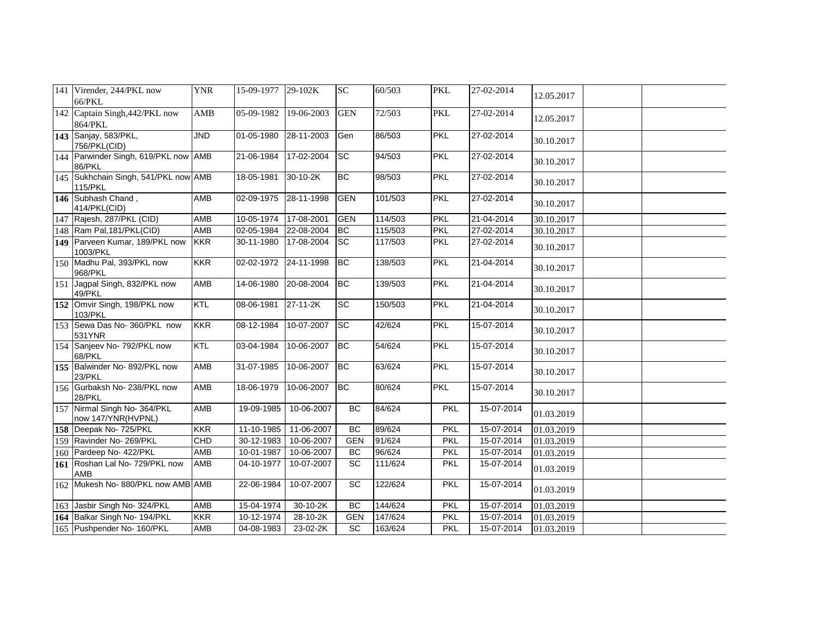| 141 Virender, 244/PKL now<br>66/PKL                | <b>YNR</b> | 15-09-1977              | 29-102K        | <b>SC</b>  | 60/503  | <b>PKL</b> | 27-02-2014          | 12.05.2017 |
|----------------------------------------------------|------------|-------------------------|----------------|------------|---------|------------|---------------------|------------|
| 142 Captain Singh, 442/PKL now<br>864/PKL          | AMB        | 05-09-1982              | 19-06-2003     | <b>GEN</b> | 72/503  | <b>PKL</b> | 27-02-2014          | 12.05.2017 |
| 143 Sanjay, 583/PKL,<br>756/PKL(CID)               | <b>JND</b> | $01 - 05 - 1980$        | 28-11-2003     | Gen        | 86/503  | <b>PKL</b> | 27-02-2014          | 30.10.2017 |
| 144 Parwinder Singh, 619/PKL now AMB<br>86/PKL     |            | 21-06-1984              | 17-02-2004     | <b>SC</b>  | 94/503  | <b>PKL</b> | 27-02-2014          | 30.10.2017 |
| 145 Sukhchain Singh, 541/PKL now AMB<br>115/PKL    |            | 18-05-1981              | $30 - 10 - 2K$ | <b>BC</b>  | 98/503  | <b>PKL</b> | 27-02-2014          | 30.10.2017 |
| 146 Subhash Chand,<br>414/PKL(CID)                 | AMB        | 02-09-1975              | 28-11-1998     | <b>GEN</b> | 101/503 | <b>PKL</b> | 27-02-2014          | 30.10.2017 |
| 147 Rajesh, 287/PKL (CID)                          | <b>AMB</b> | 10-05-1974              | 17-08-2001     | <b>GEN</b> | 114/503 | <b>PKL</b> | 21-04-2014          | 30.10.2017 |
| 148 Ram Pal, 181/PKL(CID)                          | AMB        | 02-05-1984              | 22-08-2004     | <b>BC</b>  | 115/503 | <b>PKL</b> | 27-02-2014          | 30.10.2017 |
| 149 Parveen Kumar, 189/PKL now<br>1003/PKL         | <b>KKR</b> | 30-11-1980              | 17-08-2004     | <b>SC</b>  | 117/503 | PKL        | 27-02-2014          | 30.10.2017 |
| 150 Madhu Pal, 393/PKL now<br>968/PKL              | KKR        | 02-02-1972              | 24-11-1998     | <b>BC</b>  | 138/503 | <b>PKL</b> | $\sqrt{21-04-2014}$ | 30.10.2017 |
| 151 Jagpal Singh, 832/PKL now<br>49/PKL            | AMB        | 14-06-1980              | 20-08-2004     | BC         | 139/503 | <b>PKL</b> | 21-04-2014          | 30.10.2017 |
| 152 Omvir Singh, 198/PKL now<br>103/PKL            | <b>KTL</b> | 08-06-1981              | 27-11-2K       | <b>SC</b>  | 150/503 | <b>PKL</b> | 21-04-2014          | 30.10.2017 |
| 153 Sewa Das No- 360/PKL now<br>531YNR             | <b>KKR</b> | 08-12-1984              | 10-07-2007     | <b>SC</b>  | 42/624  | <b>PKL</b> | 15-07-2014          | 30.10.2017 |
| 154 Sanjeev No- 792/PKL now<br>68/PKL              | <b>KTL</b> | 03-04-1984              | 10-06-2007     | <b>BC</b>  | 54/624  | <b>PKL</b> | 15-07-2014          | 30.10.2017 |
| 155 Balwinder No-892/PKL now<br>23/PKL             | <b>AMB</b> | 31-07-1985              | 10-06-2007     | BC         | 63/624  | <b>PKL</b> | 15-07-2014          | 30.10.2017 |
| 156 Gurbaksh No- 238/PKL now<br>28/PKL             | AMB        | 18-06-1979              | 10-06-2007     | <b>BC</b>  | 80/624  | <b>PKL</b> | 15-07-2014          | 30.10.2017 |
| 157 Nirmal Singh No- 364/PKL<br>now 147/YNR(HVPNL) | <b>AMB</b> | 19-09-1985              | 10-06-2007     | <b>BC</b>  | 84/624  | PKL        | 15-07-2014          | 01.03.2019 |
| 158 Deepak No- 725/PKL                             | <b>KKR</b> | 11-10-1985              | 11-06-2007     | BC         | 89/624  | <b>PKL</b> | 15-07-2014          | 01.03.2019 |
| 159 Ravinder No- 269/PKL                           | CHD        | 30-12-1983              | 10-06-2007     | <b>GEN</b> | 91/624  | PKL        | 15-07-2014          | 01.03.2019 |
| 160 Pardeep No- 422/PKL                            | AMB        | 10-01-1987              | 10-06-2007     | <b>BC</b>  | 96/624  | PKL        | 15-07-2014          | 01.03.2019 |
| 161 Roshan Lal No- 729/PKL now<br><b>AMB</b>       | <b>AMB</b> | 04-10-1977              | 10-07-2007     | SC         | 111/624 | <b>PKL</b> | 15-07-2014          | 01.03.2019 |
| 162 Mukesh No-880/PKL now AMB AMB                  |            | $22 - 06 - 1984$        | 10-07-2007     | <b>SC</b>  | 122/624 | <b>PKL</b> | 15-07-2014          | 01.03.2019 |
| 163 Jasbir Singh No- 324/PKL                       | AMB        | 15-04-1974              | 30-10-2K       | <b>BC</b>  | 144/624 | <b>PKL</b> | 15-07-2014          | 01.03.2019 |
| 164 Balkar Singh No- 194/PKL                       | KKR        | 10-12-1974              | 28-10-2K       | <b>GEN</b> | 147/624 | <b>PKL</b> | 15-07-2014          | 01.03.2019 |
| 165 Pushpender No- 160/PKL                         | <b>AMB</b> | $\overline{04-08-1983}$ | 23-02-2K       | SC         | 163/624 | <b>PKL</b> | 15-07-2014          | 01.03.2019 |